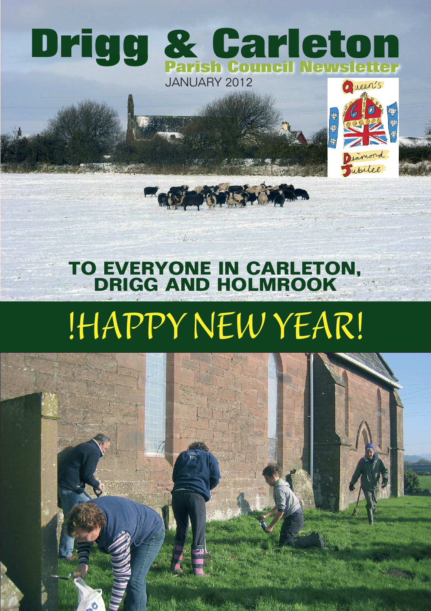#### **Drigg & Carleton Parish Council Newsletter** JANUARY 2012 Queen's



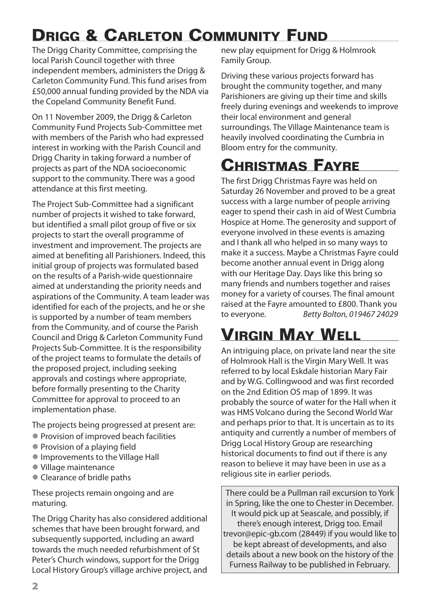## **DRIGG & CARLETON COMMUNITY FUND**

The Drigg Charity Committee, comprising the local Parish Council together with three independent members, administers the Drigg & Carleton Community Fund. This fund arises from £50,000 annual funding provided by the NDA via the Copeland Community Benefit Fund.

On 11 November 2009, the Drigg & Carleton Community Fund Projects Sub-Committee met with members of the Parish who had expressed interest in working with the Parish Council and Drigg Charity in taking forward a number of projects as part of the NDA socioeconomic support to the community. There was a good attendance at this first meeting.

The Project Sub-Committee had a significant number of projects it wished to take forward, but identified a small pilot group of five or six projects to start the overall programme of investment and improvement. The projects are aimed at benefiting all Parishioners. Indeed, this initial group of projects was formulated based on the results of a Parish-wide questionnaire aimed at understanding the priority needs and aspirations of the Community. A team leader was identified for each of the projects, and he or she is supported by a number of team members from the Community, and of course the Parish Council and Drigg & Carleton Community Fund Projects Sub-Committee. It is the responsibility of the project teams to formulate the details of the proposed project, including seeking approvals and costings where appropriate, before formally presenting to the Charity Committee for approval to proceed to an implementation phase.

The projects being progressed at present are:

- **Provision of improved beach facilities**
- **Provision of a playing field**
- **Improvements to the Village Hall**
- l Village maintenance
- **Clearance of bridle paths**

These projects remain ongoing and are maturing.

The Drigg Charity has also considered additional schemes that have been brought forward, and subsequently supported, including an award towards the much needed refurbishment of St Peter's Church windows, support for the Drigg Local History Group's village archive project, and

new play equipment for Drigg & Holmrook Family Group.

Driving these various projects forward has brought the community together, and many Parishioners are giving up their time and skills freely during evenings and weekends to improve their local environment and general surroundings. The Village Maintenance team is heavily involved coordinating the Cumbria in Bloom entry for the community.

## **CHRISTMAS FAYRE**

The first Drigg Christmas Fayre was held on Saturday 26 November and proved to be a great success with a large number of people arriving eager to spend their cash in aid of West Cumbria Hospice at Home. The generosity and support of everyone involved in these events is amazing and I thank all who helped in so many ways to make it a success. Maybe a Christmas Fayre could become another annual event in Drigg along with our Heritage Day. Days like this bring so many friends and numbers together and raises money for a variety of courses. The final amount raised at the Fayre amounted to £800. Thank you to everyone. *Betty Bolton, 019467 24029*

## **VIRGIN MAY WELL**

An intriguing place, on private land near the site of Holmrook Hall is the Virgin Mary Well. It was referred to by local Eskdale historian Mary Fair and by W.G. Collingwood and was first recorded on the 2nd Edition OS map of 1899. It was probably the source of water for the Hall when it was HMS Volcano during the Second World War and perhaps prior to that. It is uncertain as to its antiquity and currently a number of members of Drigg Local History Group are researching historical documents to find out if there is any reason to believe it may have been in use as a religious site in earlier periods.

There could be a Pullman rail excursion to York in Spring, like the one to Chester in December. It would pick up at Seascale, and possibly, if there's enough interest, Drigg too. Email trevor@epic-gb.com (28449) if you would like to be kept abreast of developments, and also details about a new book on the history of the Furness Railway to be published in February.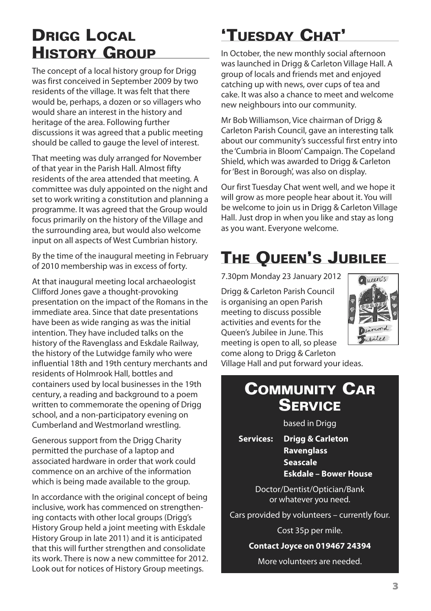## **DRIGG LOCAL HISTORY GROUP**

The concept of a local history group for Drigg was first conceived in September 2009 by two residents of the village. It was felt that there would be, perhaps, a dozen or so villagers who would share an interest in the history and heritage of the area. Following further discussions it was agreed that a public meeting should be called to gauge the level of interest.

That meeting was duly arranged for November of that year in the Parish Hall. Almost fifty residents of the area attended that meeting. A committee was duly appointed on the night and set to work writing a constitution and planning a programme. It was agreed that the Group would focus primarily on the history of the Village and the surrounding area, but would also welcome input on all aspects of West Cumbrian history.

By the time of the inaugural meeting in February of 2010 membership was in excess of forty.

At that inaugural meeting local archaeologist Clifford Jones gave a thought-provoking presentation on the impact of the Romans in the immediate area. Since that date presentations have been as wide ranging as was the initial intention. They have included talks on the history of the Ravenglass and Eskdale Railway, the history of the Lutwidge family who were influential 18th and 19th century merchants and residents of Holmrook Hall, bottles and containers used by local businesses in the 19th century, a reading and background to a poem written to commemorate the opening of Drigg school, and a non-participatory evening on Cumberland and Westmorland wrestling.

Generous support from the Drigg Charity permitted the purchase of a laptop and associated hardware in order that work could commence on an archive of the information which is being made available to the group.

In accordance with the original concept of being inclusive, work has commenced on strengthening contacts with other local groups (Drigg's History Group held a joint meeting with Eskdale History Group in late 2011) and it is anticipated that this will further strengthen and consolidate its work. There is now a new committee for 2012. Look out for notices of History Group meetings.

## **'TUESDAY CHAT'**

In October, the new monthly social afternoon was launched in Drigg & Carleton Village Hall. A group of locals and friends met and enjoyed catching up with news, over cups of tea and cake. It was also a chance to meet and welcome new neighbours into our community.

Mr Bob Williamson, Vice chairman of Drigg & Carleton Parish Council, gave an interesting talk about our community's successful first entry into the 'Cumbria in Bloom'Campaign. The Copeland Shield, which was awarded to Drigg & Carleton for'Best in Borough', was also on display.

Our first Tuesday Chat went well, and we hope it will grow as more people hear about it. You will be welcome to join us in Drigg & Carleton Village Hall. Just drop in when you like and stay as long as you want. Everyone welcome.

## **THE QUEEN'S JUBILEE**

7.30pm Monday 23 January 2012

Drigg & Carleton Parish Council is organising an open Parish meeting to discuss possible activities and events for the Queen's Jubilee in June. This meeting is open to all, so please come along to Drigg & Carleton



Village Hall and put forward your ideas.

### **COMMUNITY CAR SERVICE**

based in Drigg

**Services: Drigg & Carleton Ravenglass Seascale**

**Eskdale – Bower House**

Doctor/Dentist/Optician/Bank or whatever you need.

Cars provided by volunteers – currently four.

Cost 35p per mile.

**Contact Joyce on 019467 24394**

More volunteers are needed.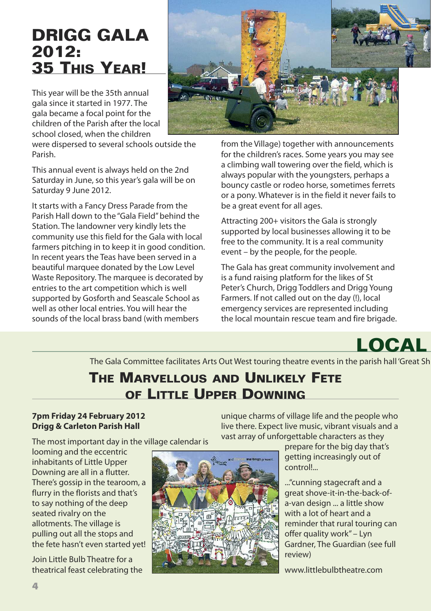### **DRIGG GALA 2012: 35 THIS YEAR!**

This year will be the 35th annual gala since it started in 1977. The gala became a focal point for the children of the Parish after the local school closed, when the children

were dispersed to several schools outside the Parish.

This annual event is always held on the 2nd Saturday in June, so this year's gala will be on Saturday 9 June 2012.

It starts with a Fancy Dress Parade from the Parish Hall down to the "Gala Field" behind the Station. The landowner very kindly lets the community use this field for the Gala with local farmers pitching in to keep it in good condition. In recent years the Teas have been served in a beautiful marquee donated by the Low Level Waste Repository. The marquee is decorated by entries to the art competition which is well supported by Gosforth and Seascale School as well as other local entries. You will hear the sounds of the local brass band (with members



from the Village) together with announcements for the children's races. Some years you may see a climbing wall towering over the field, which is always popular with the youngsters, perhaps a bouncy castle or rodeo horse, sometimes ferrets or a pony. Whatever is in the field it never fails to be a great event for all ages.

Attracting 200+ visitors the Gala is strongly supported by local businesses allowing it to be free to the community. It is a real community event – by the people, for the people.

The Gala has great community involvement and is a fund raising platform for the likes of St Peter's Church, Drigg Toddlers and Drigg Young Farmers. If not called out on the day (!), local emergency services are represented including the local mountain rescue team and fire brigade.



The Gala Committee facilitates Arts Out West touring theatre events in the parish hall 'Great Sh

#### **THE MARVELLOUS AND UNLIKELY FETE OF LITTLE UPPER DOWNING**

#### **7pm Friday 24 February 2012 Drigg & Carleton Parish Hall**

The most important day in the village calendar is

looming and the eccentric inhabitants of Little Upper Downing are all in a flutter. There's gossip in the tearoom, a flurry in the florists and that's to say nothing of the deep seated rivalry on the allotments. The village is pulling out all the stops and the fete hasn't even started yet!

Join Little Bulb Theatre for a theatrical feast celebrating the



unique charms of village life and the people who live there. Expect live music, vibrant visuals and a vast array of unforgettable characters as they

> prepare for the big day that's getting increasingly out of control!...

..."cunning stagecraft and a great shove-it-in-the-back-ofa-van design ... a little show with a lot of heart and a reminder that rural touring can offer quality work" – Lyn Gardner, The Guardian (see full review)

www.littlebulbtheatre.com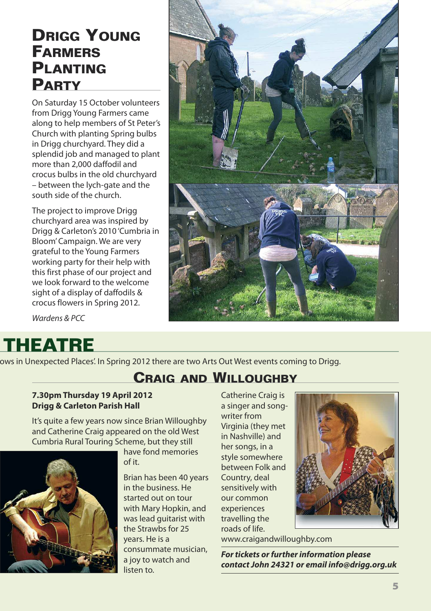### **DRIGG YOUNG FARMERS PLANTING PARTY**

On Saturday 15 October volunteers from Drigg Young Farmers came along to help members of St Peter's Church with planting Spring bulbs in Drigg churchyard. They did a splendid job and managed to plant more than 2,000 daffodil and crocus bulbs in the old churchyard – between the lych-gate and the south side of the church.

The project to improve Drigg churchyard area was inspired by Drigg & Carleton's 2010 'Cumbria in Bloom'Campaign. We are very grateful to the Young Farmers working party for their help with this first phase of our project and we look forward to the welcome sight of a display of daffodils & crocus flowers in Spring 2012.



*Wardens & PCC*

## **THEATRE**

ows in Unexpected Places'. In Spring 2012 there are two Arts Out West events coming to Drigg.

#### **CRAIG AND WILLOUGHBY**

#### **7.30pm Thursday 19 April 2012 Drigg & Carleton Parish Hall**

It's quite a few years now since Brian Willoughby and Catherine Craig appeared on the old West Cumbria Rural Touring Scheme, but they still



have fond memories of it.

Brian has been 40 years in the business. He started out on tour with Mary Hopkin, and was lead quitarist with the Strawbs for 25 years. He is a consummate musician, a joy to watch and listen to.

Catherine Craig is a singer and songwriter from Virginia (they met in Nashville) and her songs, in a style somewhere between Folk and Country, deal sensitively with our common experiences travelling the roads of life.



www.craigandwilloughby.com

**For tickets or further information please** *contactJohn 24321 or email info@drigg.org.uk*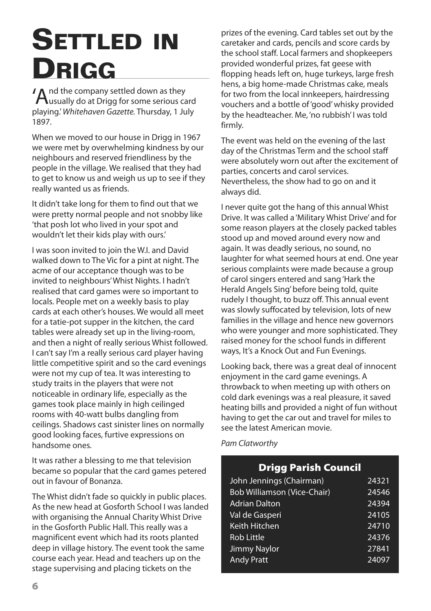# **SETTLED IN DRIGG**

'And the company settled down as they usually do at Drigg for some serious card playing.'*Whitehaven Gazette.* Thursday, 1 July 1897.

When we moved to our house in Drigg in 1967 we were met by overwhelming kindness by our neighbours and reserved friendliness by the people in the village. We realised that they had to get to know us and weigh us up to see if they really wanted us as friends.

It didn't take long for them to find out that we were pretty normal people and not snobby like 'that posh lot who lived in your spot and wouldn't let their kids play with ours.'

I was soon invited to join the W.I. and David walked down to The Vic for a pint at night. The acme of our acceptance though was to be invited to neighbours'Whist Nights. I hadn't realised that card games were so important to locals. People met on a weekly basis to play cards at each other's houses. We would all meet for a tatie-pot supper in the kitchen, the card tables were already set up in the living-room, and then a night of really serious Whist followed. I can't say I'm a really serious card player having little competitive spirit and so the card evenings were not my cup of tea. It was interesting to study traits in the players that were not noticeable in ordinary life, especially as the games took place mainly in high ceilinged rooms with 40-watt bulbs dangling from ceilings. Shadows cast sinister lines on normally good looking faces, furtive expressions on handsome ones.

It was rather a blessing to me that television became so popular that the card games petered out in favour of Bonanza.

The Whist didn't fade so quickly in public places. As the new head at Gosforth School I was landed with organising the Annual Charity Whist Drive in the Gosforth Public Hall. This really was a magnificent event which had its roots planted deep in village history. The event took the same course each year. Head and teachers up on the stage supervising and placing tickets on the

prizes of the evening. Card tables set out by the caretaker and cards, pencils and score cards by the school staff. Local farmers and shopkeepers provided wonderful prizes, fat geese with flopping heads left on, huge turkeys, large fresh hens, a big home-made Christmas cake, meals for two from the local innkeepers, hairdressing vouchers and a bottle of'good'whisky provided by the headteacher. Me, 'no rubbish' I was told firmly.

The event was held on the evening of the last day of the Christmas Term and the school staff were absolutely worn out after the excitement of parties, concerts and carol services. Nevertheless, the show had to go on and it always did.

I never quite got the hang of this annual Whist Drive. It was called a 'Military Whist Drive' and for some reason players at the closely packed tables stood up and moved around every now and again. It was deadly serious, no sound, no laughter for what seemed hours at end. One year serious complaints were made because a group of carol singers entered and sang'Hark the Herald Angels Sing'before being told, quite rudely I thought, to buzz off. This annual event was slowly suffocated by television, lots of new families in the village and hence new governors who were younger and more sophisticated. They raised money for the school funds in different ways, It's a Knock Out and Fun Evenings.

Looking back, there was a great deal of innocent enjoyment in the card game evenings. A throwback to when meeting up with others on cold dark evenings was a real pleasure, it saved heating bills and provided a night of fun without having to get the car out and travel for miles to see the latest American movie.

*Pam Clatworthy*

#### **Drigg Parish Council**

| John Jennings (Chairman)           | 24321 |
|------------------------------------|-------|
| <b>Bob Williamson (Vice-Chair)</b> | 24546 |
| <b>Adrian Dalton</b>               | 24394 |
| Val de Gasperi                     | 24105 |
| Keith Hitchen                      | 24710 |
| <b>Rob Little</b>                  | 24376 |
| Jimmy Naylor                       | 27841 |
| <b>Andy Pratt</b>                  | 24097 |
|                                    |       |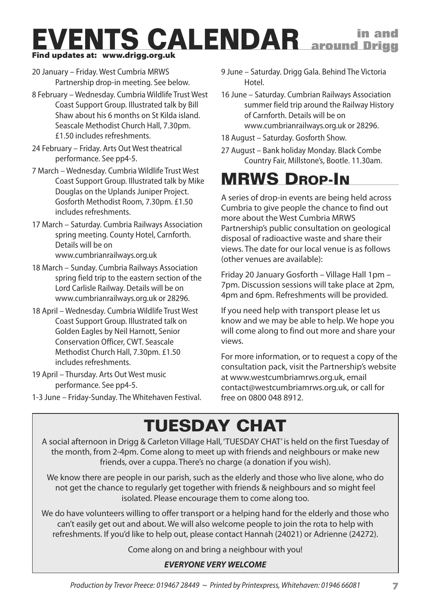## $\textbf{F}_{\text{find update at:}}$  www.drigg.org.uk **Find ww k**

- 20 January Friday. West Cumbria MRWS Partnership drop-in meeting. See below.
- 8 February Wednesday. Cumbria Wildlife Trust West Coast Support Group. Illustrated talk by Bill Shaw about his 6 months on St Kilda island. Seascale Methodist Church Hall, 7.30pm. £1.50 includes refreshments.
- 24 February Friday. Arts Out West theatrical performance. See pp4-5.
- 7 March Wednesday. Cumbria Wildlife Trust West Coast Support Group. Illustrated talk by Mike Douglas on the Uplands Juniper Project. Gosforth Methodist Room, 7.30pm. £1.50 includes refreshments.
- 17 March Saturday. Cumbria Railways Association spring meeting. County Hotel, Carnforth. Details will be on www.cumbrianrailways.org.uk
- 18 March Sunday. Cumbria Railways Association spring field trip to the eastern section of the Lord Carlisle Railway. Details will be on www.cumbrianrailways.org.uk or 28296.
- 18 April Wednesday. Cumbria Wildlife Trust West Coast Support Group. Illustrated talk on Golden Eagles by Neil Harnott, Senior Conservation Officer, CWT. Seascale Methodist Church Hall, 7.30pm. £1.50 includes refreshments.
- 19 April Thursday. Arts Out West music performance. See pp4-5.
- 1-3 June Friday-Sunday. The Whitehaven Festival.
- 9 June Saturday. Drigg Gala. Behind The Victoria Hotel.
- 16 June Saturday. Cumbrian Railways Association summer field trip around the Railway History of Carnforth. Details will be on www.cumbrianrailways.org.uk or 28296.
- 18 August Saturday. Gosforth Show.
- 27 August Bank holiday Monday. Black Combe Country Fair, Millstone's, Bootle. 11.30am.

## **MRWS DROP-IN**

A series of drop-in events are being held across Cumbria to give people the chance to find out more about the West Cumbria MRWS Partnership's public consultation on geological disposal of radioactive waste and share their views. The date for our local venue is as follows (other venues are available):

Friday 20 January Gosforth – Village Hall 1pm – 7pm. Discussion sessions will take place at 2pm, 4pm and 6pm. Refreshments will be provided.

If you need help with transport please let us know and we may be able to help. We hope you will come along to find out more and share your views.

For more information, or to request a copy of the consultation pack, visit the Partnership's website at www.westcumbriamrws.org.uk, email contact@westcumbriamrws.org.uk, or call for free on 0800 048 8912.

## **TUESDAY CHAT**

A social afternoon in Drigg & Carleton Village Hall, 'TUESDAY CHAT' is held on the first Tuesday of the month, from 2-4pm. Come along to meet up with friends and neighbours or make new friends, over a cuppa. There's no charge (a donation if you wish).

We know there are people in our parish, such as the elderly and those who live alone, who do not get the chance to regularly get together with friends & neighbours and so might feel isolated. Please encourage them to come along too.

We do have volunteers willing to offer transport or a helping hand for the elderly and those who can't easily get out and about. We will also welcome people to join the rota to help with refreshments. If you'd like to help out, please contact Hannah (24021) or Adrienne (24272).

Come along on and bring a neighbour with you!

#### *EVERYONE VERY WELCOME*